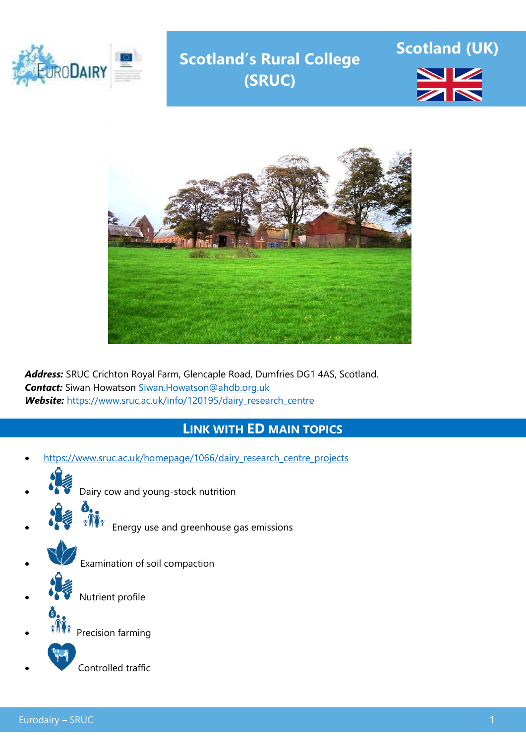

# **Scotland's Rural College (SRUC)**





*Address:* SRUC Crichton Royal Farm, Glencaple Road, Dumfries DG1 4AS, Scotland. *Contact:* Siwan Howatson [Siwan.Howatson@ahdb.org.uk](mailto:Siwan.Howatson@ahdb.org.uk) *Website:* [https://www.sruc.ac.uk/info/120195/dairy\\_research\\_centre](https://www.sruc.ac.uk/info/120195/dairy_research_centre)

## **LINK WITH ED MAIN TOPICS**

- [https://www.sruc.ac.uk/homepage/1066/dairy\\_research\\_centre\\_projects](https://www.sruc.ac.uk/homepage/1066/dairy_research_centre_projects)
- Dairy cow and young-stock nutrition Energy use and greenhouse gas emissions Examination of soil compaction Nutrient profile Precision farming Controlled traffic